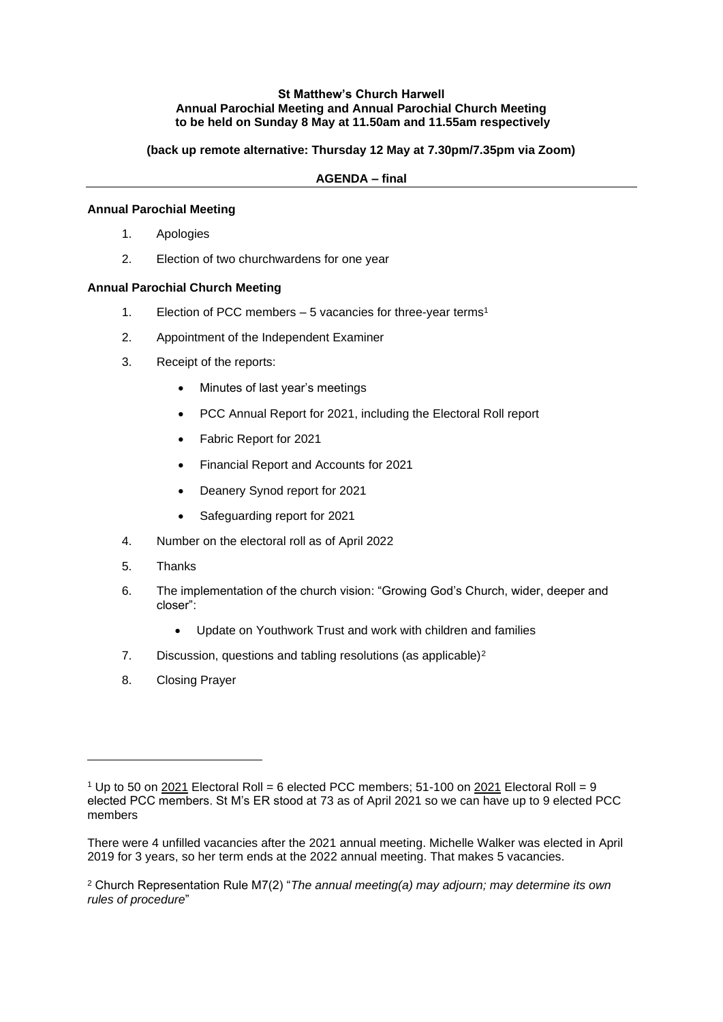## **St Matthew's Church Harwell Annual Parochial Meeting and Annual Parochial Church Meeting to be held on Sunday 8 May at 11.50am and 11.55am respectively**

**(back up remote alternative: Thursday 12 May at 7.30pm/7.35pm via Zoom)**

**AGENDA – final**

## **Annual Parochial Meeting**

- 1. Apologies
- 2. Election of two churchwardens for one year

## **Annual Parochial Church Meeting**

- 1. Election of PCC members 5 vacancies for three-year terms<sup>1</sup>
- 2. Appointment of the Independent Examiner
- 3. Receipt of the reports:
	- Minutes of last year's meetings
	- PCC Annual Report for 2021, including the Electoral Roll report
	- Fabric Report for 2021
	- Financial Report and Accounts for 2021
	- Deanery Synod report for 2021
	- Safeguarding report for 2021
- 4. Number on the electoral roll as of April 2022
- 5. Thanks
- 6. The implementation of the church vision: "Growing God's Church, wider, deeper and closer":
	- Update on Youthwork Trust and work with children and families
- 7. Discussion, questions and tabling resolutions (as applicable)<sup>2</sup>
- 8. Closing Prayer

<sup>2</sup> Church Representation Rule M7(2) "*The annual meeting(a) may adjourn; may determine its own rules of procedure*"

<sup>1</sup> Up to 50 on 2021 Electoral Roll = 6 elected PCC members; 51-100 on 2021 Electoral Roll = 9 elected PCC members. St M's ER stood at 73 as of April 2021 so we can have up to 9 elected PCC members

There were 4 unfilled vacancies after the 2021 annual meeting. Michelle Walker was elected in April 2019 for 3 years, so her term ends at the 2022 annual meeting. That makes 5 vacancies.